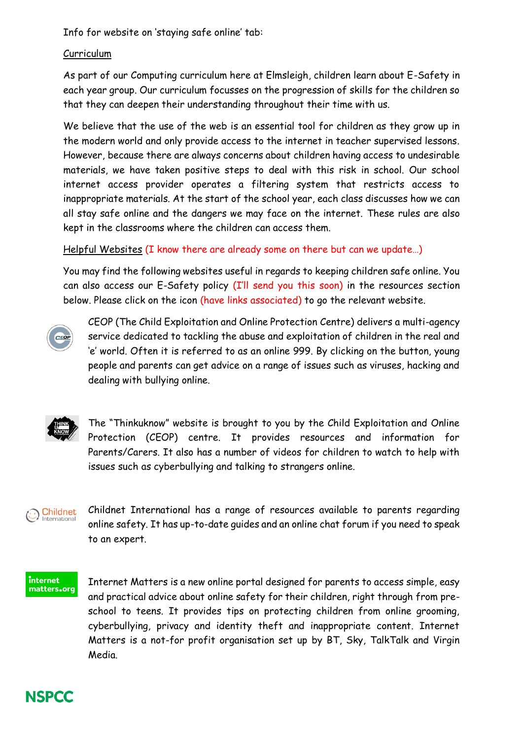Info for website on 'staying safe online' tab:

## Curriculum

As part of our Computing curriculum here at Elmsleigh, children learn about E-Safety in each year group. Our curriculum focusses on the progression of skills for the children so that they can deepen their understanding throughout their time with us.

We believe that the use of the web is an essential tool for children as they grow up in the modern world and only provide access to the internet in teacher supervised lessons. However, because there are always concerns about children having access to undesirable materials, we have taken positive steps to deal with this risk in school. Our school internet access provider operates a filtering system that restricts access to inappropriate materials. At the start of the school year, each class discusses how we can all stay safe online and the dangers we may face on the internet. These rules are also kept in the classrooms where the children can access them.

## Helpful Websites (I know there are already some on there but can we update…)

You may find the following websites useful in regards to keeping children safe online. You can also access our E-Safety policy (I'll send you this soon) in the resources section below. Please click on the icon (have links associated) to go the relevant website.



CEOP (The Child Exploitation and Online Protection Centre) delivers a multi-agency service dedicated to tackling the abuse and exploitation of children in the real and 'e' world. Often it is referred to as an online 999. By clicking on the button, young people and parents can get advice on a range of issues such as viruses, hacking and dealing with bullying online.



The "Thinkuknow" website is brought to you by the Child Exploitation and Online Protection (CEOP) centre. It provides resources and information for Parents/Carers. It also has a number of videos for children to watch to help with issues such as cyberbullying and talking to strangers online.

#### Childnet Internationa

Childnet International has a range of resources available to parents regarding online safety. It has up-to-date guides and an online chat forum if you need to speak to an expert.

#### internet matters.org

Internet Matters is a new online portal designed for parents to access simple, easy and practical advice about online safety for their children, right through from preschool to teens. It provides tips on protecting children from online grooming, cyberbullying, privacy and identity theft and inappropriate content. Internet Matters is a not-for profit organisation set up by BT, Sky, TalkTalk and Virgin Media.

# **NSPCC**